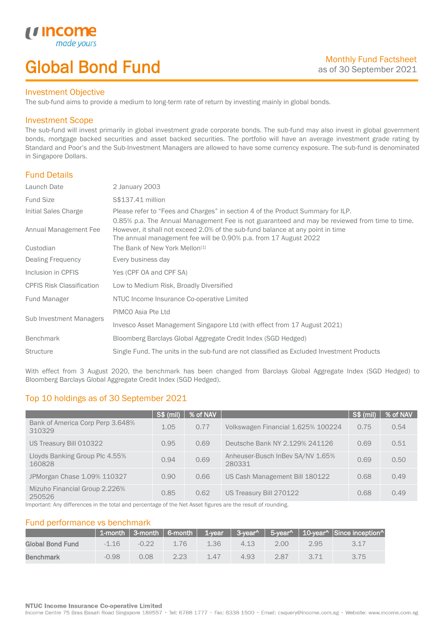# Global Bond Fund

### Investment Objective

made y

*u* incom

I

The sub-fund aims to provide a medium to long-term rate of return by investing mainly in global bonds.

### Investment Scope

The sub-fund will invest primarily in global investment grade corporate bonds. The sub-fund may also invest in global government bonds, mortgage backed securities and asset backed securities. The portfolio will have an average investment grade rating by Standard and Poor's and the Sub-Investment Managers are allowed to have some currency exposure. The sub-fund is denominated in Singapore Dollars.

## Fund Details

| Launch Date                      | 2 January 2003                                                                                                                                                                                                                                      |
|----------------------------------|-----------------------------------------------------------------------------------------------------------------------------------------------------------------------------------------------------------------------------------------------------|
| <b>Fund Size</b>                 | S\$137.41 million                                                                                                                                                                                                                                   |
| Initial Sales Charge             | Please refer to "Fees and Charges" in section 4 of the Product Summary for ILP.                                                                                                                                                                     |
| Annual Management Fee            | 0.85% p.a. The Annual Management Fee is not guaranteed and may be reviewed from time to time.<br>However, it shall not exceed 2.0% of the sub-fund balance at any point in time<br>The annual management fee will be 0.90% p.a. from 17 August 2022 |
| Custodian                        | The Bank of New York Mellon <sup>[1]</sup>                                                                                                                                                                                                          |
| Dealing Frequency                | Every business day                                                                                                                                                                                                                                  |
| Inclusion in CPFIS               | Yes (CPF OA and CPF SA)                                                                                                                                                                                                                             |
| <b>CPFIS Risk Classification</b> | Low to Medium Risk, Broadly Diversified                                                                                                                                                                                                             |
| Fund Manager                     | NTUC Income Insurance Co-operative Limited                                                                                                                                                                                                          |
| Sub Investment Managers          | PIMCO Asia Pte Ltd                                                                                                                                                                                                                                  |
|                                  | Invesco Asset Management Singapore Ltd (with effect from 17 August 2021)                                                                                                                                                                            |
| <b>Benchmark</b>                 | Bloomberg Barclays Global Aggregate Credit Index (SGD Hedged)                                                                                                                                                                                       |
| <b>Structure</b>                 | Single Fund. The units in the sub-fund are not classified as Excluded Investment Products                                                                                                                                                           |
|                                  |                                                                                                                                                                                                                                                     |

With effect from 3 August 2020, the benchmark has been changed from Barclays Global Aggregate Index (SGD Hedged) to Bloomberg Barclays Global Aggregate Credit Index (SGD Hedged).

# Top 10 holdings as of 30 September 2021

|                                            | <b>S\$ (mil)</b> | % of NAV |                                            | S\$ (mil) | % of NAV |
|--------------------------------------------|------------------|----------|--------------------------------------------|-----------|----------|
| Bank of America Corp Perp 3.648%<br>310329 | 1.05             | 0.77     | Volkswagen Financial 1.625% 100224         | 0.75      | 0.54     |
| US Treasury Bill 010322                    | 0.95             | 0.69     | Deutsche Bank NY 2.129% 241126             | 0.69      | 0.51     |
| Lloyds Banking Group Plc 4.55%<br>160828   | 0.94             | 0.69     | Anheuser-Busch InBev SA/NV 1.65%<br>280331 | 0.69      | 0.50     |
| JPMorgan Chase 1.09% 110327                | 0.90             | 0.66     | US Cash Management Bill 180122             | 0.68      | 0.49     |
| Mizuho Financial Group 2.226%<br>250526    | 0.85             | 0.62     | US Treasury Bill 270122                    | 0.68      | 0.49     |

Important: Any differences in the total and percentage of the Net Asset figures are the result of rounding.

## Fund performance vs benchmark

|                         |         |         |      |         |      |      |      | 1-month   3-month   6-month   1-year   3-year^   5-year^   10-year^   Since inception^ |
|-------------------------|---------|---------|------|---------|------|------|------|----------------------------------------------------------------------------------------|
| <b>Global Bond Fund</b> | $-1.16$ | $-0.22$ | 176  | 1.36    | 4.13 | 2.00 | 2.95 |                                                                                        |
| <b>Benchmark</b>        | $-0.98$ | 0.08    | 2.23 | $1\,47$ | 4.93 | 2.87 |      | 3.75                                                                                   |